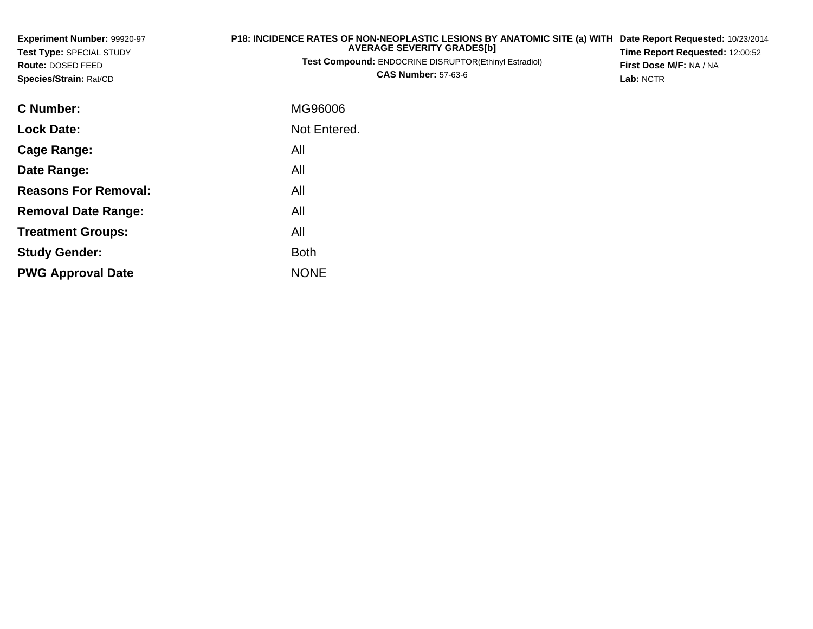| Experiment Number: 99920-97<br><b>Test Type: SPECIAL STUDY</b><br><b>Route: DOSED FEED</b><br>Species/Strain: Rat/CD | P18: INCIDENCE RATES OF NON-NEOPLASTIC LESIONS BY ANATOMIC SITE (a) WITH<br><b>AVERAGE SEVERITY GRADES[b]</b><br>Test Compound: ENDOCRINE DISRUPTOR(Ethinyl Estradiol)<br><b>CAS Number: 57-63-6</b> | Date Report Requested: 10/23/2014<br>Time Report Requested: 12:00:52<br>First Dose M/F: NA / NA<br>Lab: NCTR |
|----------------------------------------------------------------------------------------------------------------------|------------------------------------------------------------------------------------------------------------------------------------------------------------------------------------------------------|--------------------------------------------------------------------------------------------------------------|
| C Number:                                                                                                            | MG96006                                                                                                                                                                                              |                                                                                                              |
| <b>Lock Date:</b>                                                                                                    | Not Entered.                                                                                                                                                                                         |                                                                                                              |
| Cage Range:                                                                                                          | All                                                                                                                                                                                                  |                                                                                                              |
| Date Range:                                                                                                          | All                                                                                                                                                                                                  |                                                                                                              |
| <b>Reasons For Removal:</b>                                                                                          | All                                                                                                                                                                                                  |                                                                                                              |
| <b>Removal Date Range:</b>                                                                                           | All                                                                                                                                                                                                  |                                                                                                              |
| <b>Treatment Groups:</b>                                                                                             | All                                                                                                                                                                                                  |                                                                                                              |
| <b>Study Gender:</b>                                                                                                 | <b>Both</b>                                                                                                                                                                                          |                                                                                                              |

e NONE

**PWG Approval Date**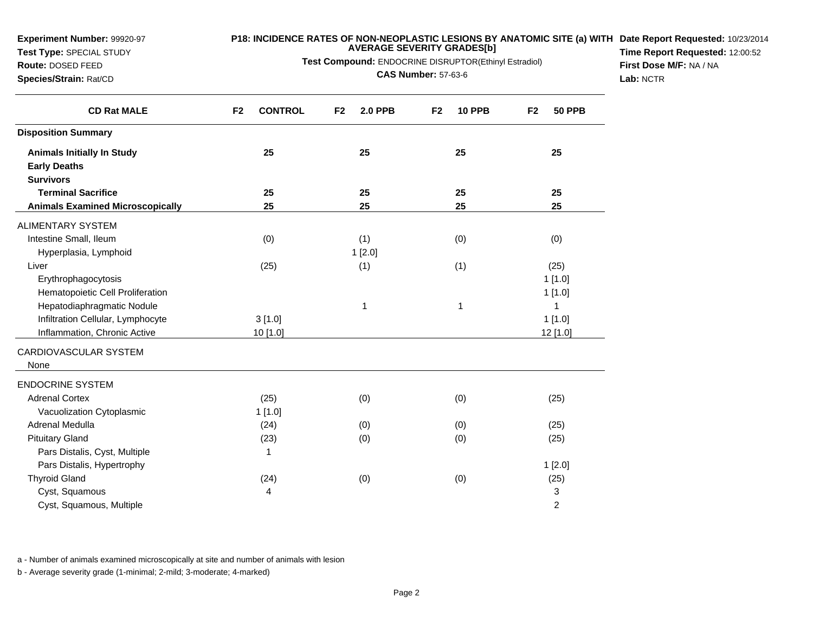**Test Type:** SPECIAL STUDY

**Route:** DOSED FEED**Species/Strain:** Rat/CD

#### **P18: INCIDENCE RATES OF NON-NEOPLASTIC LESIONS BY ANATOMIC SITE (a) WITH AVERAGE SEVERITY GRADES[b] Date Report Requested:** 10/23/2014

**Test Compound:** ENDOCRINE DISRUPTOR(Ethinyl Estradiol)

**CAS Number:** 57-63-6

**Time Report Requested:** 12:00:52**First Dose M/F:** NA / NA**Lab:** NCTR

| <b>CD Rat MALE</b>                      | F <sub>2</sub><br><b>CONTROL</b> | <b>2.0 PPB</b><br>F <sub>2</sub> | <b>10 PPB</b><br>F <sub>2</sub> | <b>50 PPB</b><br>F <sub>2</sub> |
|-----------------------------------------|----------------------------------|----------------------------------|---------------------------------|---------------------------------|
| <b>Disposition Summary</b>              |                                  |                                  |                                 |                                 |
| <b>Animals Initially In Study</b>       | 25                               | 25                               | 25                              | 25                              |
| <b>Early Deaths</b>                     |                                  |                                  |                                 |                                 |
| <b>Survivors</b>                        |                                  |                                  |                                 |                                 |
| <b>Terminal Sacrifice</b>               | 25                               | 25                               | 25                              | 25                              |
| <b>Animals Examined Microscopically</b> | 25                               | 25                               | 25                              | 25                              |
| <b>ALIMENTARY SYSTEM</b>                |                                  |                                  |                                 |                                 |
| Intestine Small, Ileum                  | (0)                              | (1)                              | (0)                             | (0)                             |
| Hyperplasia, Lymphoid                   |                                  | 1[2.0]                           |                                 |                                 |
| Liver                                   | (25)                             | (1)                              | (1)                             | (25)                            |
| Erythrophagocytosis                     |                                  |                                  |                                 | 1[1.0]                          |
| Hematopoietic Cell Proliferation        |                                  |                                  |                                 | 1[1.0]                          |
| Hepatodiaphragmatic Nodule              |                                  | 1                                | 1                               | 1                               |
| Infiltration Cellular, Lymphocyte       | 3[1.0]                           |                                  |                                 | 1[1.0]                          |
| Inflammation, Chronic Active            | 10 [1.0]                         |                                  |                                 | 12 [1.0]                        |
| CARDIOVASCULAR SYSTEM                   |                                  |                                  |                                 |                                 |
| None                                    |                                  |                                  |                                 |                                 |
| <b>ENDOCRINE SYSTEM</b>                 |                                  |                                  |                                 |                                 |
| <b>Adrenal Cortex</b>                   | (25)                             | (0)                              | (0)                             | (25)                            |
| Vacuolization Cytoplasmic               | 1[1.0]                           |                                  |                                 |                                 |
| Adrenal Medulla                         | (24)                             | (0)                              | (0)                             | (25)                            |
| <b>Pituitary Gland</b>                  | (23)                             | (0)                              | (0)                             | (25)                            |
| Pars Distalis, Cyst, Multiple           | 1                                |                                  |                                 |                                 |
| Pars Distalis, Hypertrophy              |                                  |                                  |                                 | 1[2.0]                          |
| <b>Thyroid Gland</b>                    | (24)                             | (0)                              | (0)                             | (25)                            |
| Cyst, Squamous                          | 4                                |                                  |                                 | 3                               |
| Cyst, Squamous, Multiple                |                                  |                                  |                                 | 2                               |

a - Number of animals examined microscopically at site and number of animals with lesion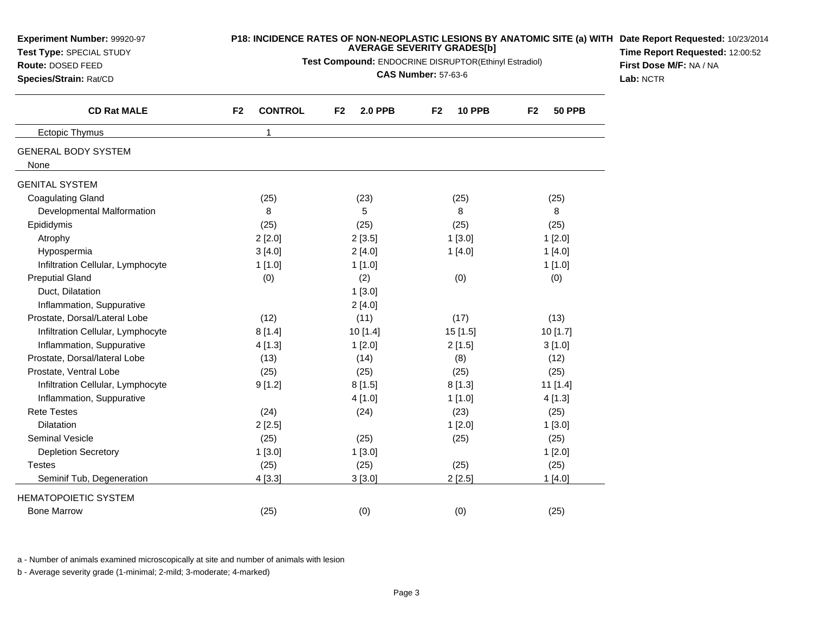| P18: INCIDENCE RATES OF NON-NEOPLASTIC LESIONS BY ANATOMIC SITE (a) WITH Date Report Requested: 10/23/2014<br>Experiment Number: 99920-97<br><b>AVERAGE SEVERITY GRADES[b]</b><br>Test Type: SPECIAL STUDY<br>Test Compound: ENDOCRINE DISRUPTOR(Ethinyl Estradiol)<br>Route: DOSED FEED<br><b>CAS Number: 57-63-6</b><br>Species/Strain: Rat/CD |                                  |                      |                     |                                 | Time Report Requested: 12:00:52<br>First Dose M/F: NA / NA<br>Lab: NCTR |
|--------------------------------------------------------------------------------------------------------------------------------------------------------------------------------------------------------------------------------------------------------------------------------------------------------------------------------------------------|----------------------------------|----------------------|---------------------|---------------------------------|-------------------------------------------------------------------------|
| <b>CD Rat MALE</b>                                                                                                                                                                                                                                                                                                                               | <b>CONTROL</b><br>F <sub>2</sub> | <b>2.0 PPB</b><br>F2 | <b>10 PPB</b><br>F2 | <b>50 PPB</b><br>F <sub>2</sub> |                                                                         |
| <b>Ectopic Thymus</b>                                                                                                                                                                                                                                                                                                                            | $\mathbf{1}$                     |                      |                     |                                 |                                                                         |
| <b>GENERAL BODY SYSTEM</b><br>None                                                                                                                                                                                                                                                                                                               |                                  |                      |                     |                                 |                                                                         |
| <b>GENITAL SYSTEM</b>                                                                                                                                                                                                                                                                                                                            |                                  |                      |                     |                                 |                                                                         |
| <b>Coagulating Gland</b>                                                                                                                                                                                                                                                                                                                         | (25)                             | (23)                 | (25)                | (25)                            |                                                                         |
| Developmental Malformation                                                                                                                                                                                                                                                                                                                       | 8                                | 5                    | 8                   | 8                               |                                                                         |
| Epididymis                                                                                                                                                                                                                                                                                                                                       | (25)                             | (25)                 | (25)                | (25)                            |                                                                         |
| Atrophy                                                                                                                                                                                                                                                                                                                                          | 2[2.0]                           | 2[3.5]               | 1[3.0]              | 1[2.0]                          |                                                                         |
| Hypospermia                                                                                                                                                                                                                                                                                                                                      | 3[4.0]                           | 2[4.0]               | 1[4.0]              | 1[4.0]                          |                                                                         |
| Infiltration Cellular, Lymphocyte                                                                                                                                                                                                                                                                                                                | 1[1.0]                           | 1[1.0]               |                     | 1[1.0]                          |                                                                         |
| <b>Preputial Gland</b>                                                                                                                                                                                                                                                                                                                           | (0)                              | (2)                  | (0)                 | (0)                             |                                                                         |
| Duct, Dilatation                                                                                                                                                                                                                                                                                                                                 |                                  | 1[3.0]               |                     |                                 |                                                                         |
| Inflammation, Suppurative                                                                                                                                                                                                                                                                                                                        |                                  | 2[4.0]               |                     |                                 |                                                                         |
| Prostate, Dorsal/Lateral Lobe                                                                                                                                                                                                                                                                                                                    | (12)                             | (11)                 | (17)                | (13)                            |                                                                         |
| Infiltration Cellular, Lymphocyte                                                                                                                                                                                                                                                                                                                | 8[1.4]                           | 10 [1.4]             | 15 [1.5]            | 10[1.7]                         |                                                                         |
| Inflammation, Suppurative                                                                                                                                                                                                                                                                                                                        | 4 [1.3]                          | 1[2.0]               | 2[1.5]              | 3[1.0]                          |                                                                         |
| Prostate, Dorsal/lateral Lobe                                                                                                                                                                                                                                                                                                                    | (13)                             | (14)                 | (8)                 | (12)                            |                                                                         |
| Prostate, Ventral Lobe                                                                                                                                                                                                                                                                                                                           | (25)                             | (25)                 | (25)                | (25)                            |                                                                         |
| Infiltration Cellular, Lymphocyte                                                                                                                                                                                                                                                                                                                | 9[1.2]                           | 8[1.5]               | 8[1.3]              | 11 [1.4]                        |                                                                         |
| Inflammation, Suppurative                                                                                                                                                                                                                                                                                                                        |                                  | 4 [1.0]              | 1[1.0]              | 4[1.3]                          |                                                                         |
| <b>Rete Testes</b>                                                                                                                                                                                                                                                                                                                               | (24)                             | (24)                 | (23)                | (25)                            |                                                                         |
| Dilatation                                                                                                                                                                                                                                                                                                                                       | 2[2.5]                           |                      | 1[2.0]              | 1[3.0]                          |                                                                         |
| <b>Seminal Vesicle</b>                                                                                                                                                                                                                                                                                                                           | (25)                             | (25)                 | (25)                | (25)                            |                                                                         |
| <b>Depletion Secretory</b>                                                                                                                                                                                                                                                                                                                       | 1[3.0]                           | 1[3.0]               |                     | 1[2.0]                          |                                                                         |
| <b>Testes</b>                                                                                                                                                                                                                                                                                                                                    | (25)                             | (25)                 | (25)                | (25)                            |                                                                         |
| Seminif Tub, Degeneration                                                                                                                                                                                                                                                                                                                        | 4[3.3]                           | 3[3.0]               | 2[2.5]              | 1[4.0]                          |                                                                         |
| <b>HEMATOPOIETIC SYSTEM</b>                                                                                                                                                                                                                                                                                                                      |                                  |                      |                     |                                 |                                                                         |
| <b>Bone Marrow</b>                                                                                                                                                                                                                                                                                                                               | (25)                             | (0)                  | (0)                 | (25)                            |                                                                         |

a - Number of animals examined microscopically at site and number of animals with lesion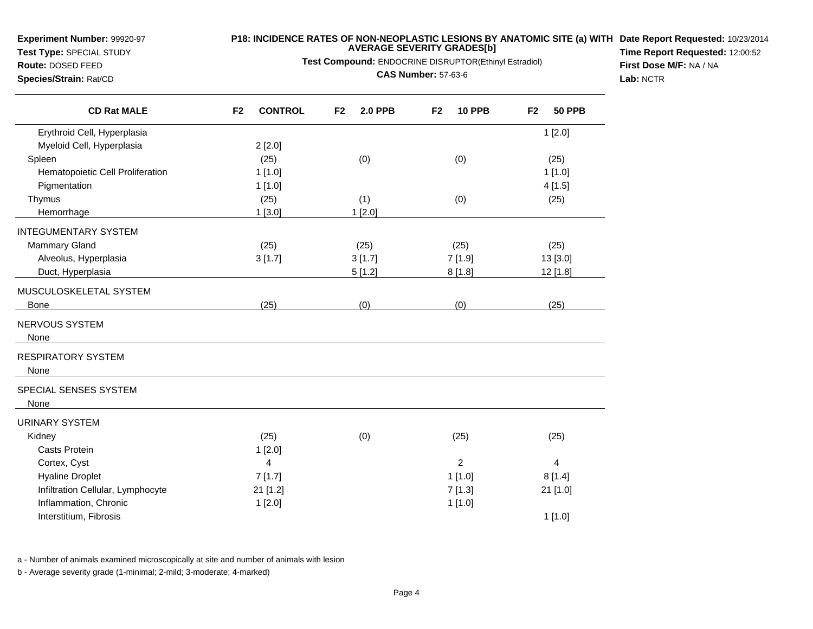**Test Type:** SPECIAL STUDY**Route:** DOSED FEED

**Species/Strain:** Rat/CD

# **P18: INCIDENCE RATES OF NON-NEOPLASTIC LESIONS BY ANATOMIC SITE (a) WITH AVERAGE SEVERITY GRADES[b] Date Report Requested:** 10/23/2014

**Test Compound:** ENDOCRINE DISRUPTOR(Ethinyl Estradiol)

**CAS Number:** 57-63-6

**Time Report Requested:** 12:00:52**First Dose M/F:** NA / NA**Lab:** NCTR

| <b>CD Rat MALE</b>                | F <sub>2</sub><br><b>CONTROL</b> | <b>2.0 PPB</b><br>F <sub>2</sub> | <b>10 PPB</b><br>F <sub>2</sub> | <b>50 PPB</b><br>F <sub>2</sub> |
|-----------------------------------|----------------------------------|----------------------------------|---------------------------------|---------------------------------|
| Erythroid Cell, Hyperplasia       |                                  |                                  |                                 | 1[2.0]                          |
| Myeloid Cell, Hyperplasia         | 2[2.0]                           |                                  |                                 |                                 |
| Spleen                            | (25)                             | (0)                              | (0)                             | (25)                            |
| Hematopoietic Cell Proliferation  | 1[1.0]                           |                                  |                                 | 1[1.0]                          |
| Pigmentation                      | 1[1.0]                           |                                  |                                 | 4[1.5]                          |
| Thymus                            | (25)                             | (1)                              | (0)                             | (25)                            |
| Hemorrhage                        | 1[3.0]                           | 1[2.0]                           |                                 |                                 |
| <b>INTEGUMENTARY SYSTEM</b>       |                                  |                                  |                                 |                                 |
| Mammary Gland                     | (25)                             | (25)                             | (25)                            | (25)                            |
| Alveolus, Hyperplasia             | 3[1.7]                           | 3[1.7]                           | 7[1.9]                          | 13 [3.0]                        |
| Duct, Hyperplasia                 |                                  | 5[1.2]                           | 8[1.8]                          | 12 [1.8]                        |
| MUSCULOSKELETAL SYSTEM            |                                  |                                  |                                 |                                 |
| <b>Bone</b>                       | (25)                             | (0)                              | (0)                             | (25)                            |
| NERVOUS SYSTEM                    |                                  |                                  |                                 |                                 |
| None                              |                                  |                                  |                                 |                                 |
| <b>RESPIRATORY SYSTEM</b>         |                                  |                                  |                                 |                                 |
| None                              |                                  |                                  |                                 |                                 |
| SPECIAL SENSES SYSTEM             |                                  |                                  |                                 |                                 |
| None                              |                                  |                                  |                                 |                                 |
| <b>URINARY SYSTEM</b>             |                                  |                                  |                                 |                                 |
| Kidney                            | (25)                             | (0)                              | (25)                            | (25)                            |
| <b>Casts Protein</b>              | 1[2.0]                           |                                  |                                 |                                 |
| Cortex, Cyst                      | 4                                |                                  | $\overline{c}$                  | 4                               |
| <b>Hyaline Droplet</b>            | 7[1.7]                           |                                  | 1[1.0]                          | 8[1.4]                          |
| Infiltration Cellular, Lymphocyte | 21 [1.2]                         |                                  | 7[1.3]                          | 21 [1.0]                        |
| Inflammation, Chronic             | 1[2.0]                           |                                  | 1[1.0]                          |                                 |
| Interstitium, Fibrosis            |                                  |                                  |                                 | 1[1.0]                          |
|                                   |                                  |                                  |                                 |                                 |

a - Number of animals examined microscopically at site and number of animals with lesion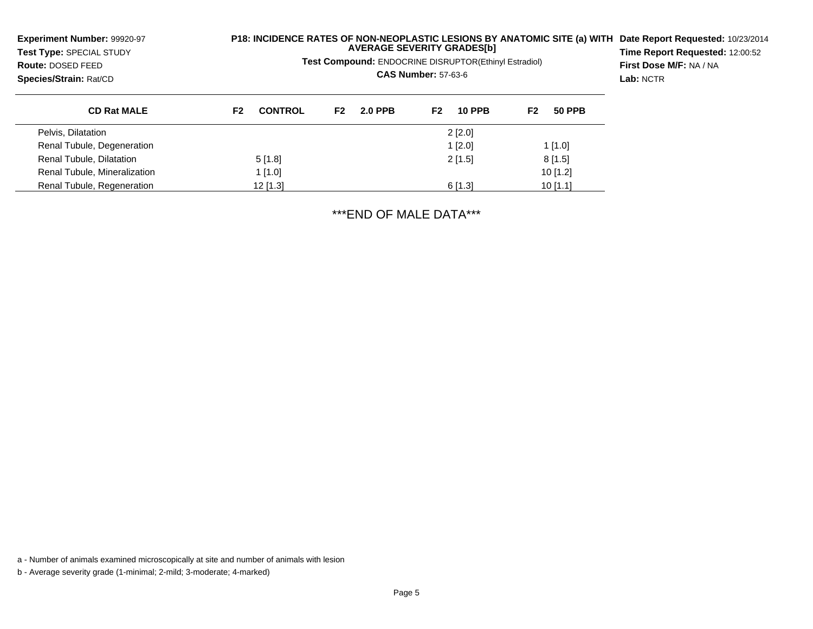| <b>Experiment Number: 99920-97</b><br>Test Type: SPECIAL STUDY<br>Route: DOSED FEED<br>Species/Strain: Rat/CD |                                  |                      | <b>AVERAGE SEVERITY GRADES[b]</b><br>Test Compound: ENDOCRINE DISRUPTOR(Ethinyl Estradiol)<br><b>CAS Number: 57-63-6</b> | <b>P18: INCIDENCE RATES OF NON-NEOPLASTIC LESIONS BY ANATOMIC SITE (a) WITH</b> | Date Report Requested: 10/23/2014<br>Time Report Requested: 12:00:52<br>First Dose M/F: NA / NA<br>Lab: NCTR |
|---------------------------------------------------------------------------------------------------------------|----------------------------------|----------------------|--------------------------------------------------------------------------------------------------------------------------|---------------------------------------------------------------------------------|--------------------------------------------------------------------------------------------------------------|
| <b>CD Rat MALE</b>                                                                                            | <b>CONTROL</b><br>F <sub>2</sub> | <b>2.0 PPB</b><br>F2 | F <sub>2</sub><br><b>10 PPB</b>                                                                                          | F2<br><b>50 PPB</b>                                                             |                                                                                                              |
| Pelvis, Dilatation                                                                                            |                                  |                      | $2$ [2.0]                                                                                                                |                                                                                 |                                                                                                              |
| Renal Tubule, Degeneration                                                                                    |                                  |                      | $1$ [2.0]                                                                                                                | $1$ [1.0]                                                                       |                                                                                                              |
| Renal Tubule, Dilatation                                                                                      | 5[1.8]                           |                      | 2[1.5]                                                                                                                   | 8[1.5]                                                                          |                                                                                                              |
| Renal Tubule, Mineralization                                                                                  | 1[1.0]                           |                      |                                                                                                                          | $10$ [1.2]                                                                      |                                                                                                              |
| Renal Tubule, Regeneration                                                                                    | $12$ [1.3]                       |                      | 6[1.3]                                                                                                                   | $10$ [1.1]                                                                      |                                                                                                              |

\*\*\*END OF MALE DATA\*\*\*

a - Number of animals examined microscopically at site and number of animals with lesion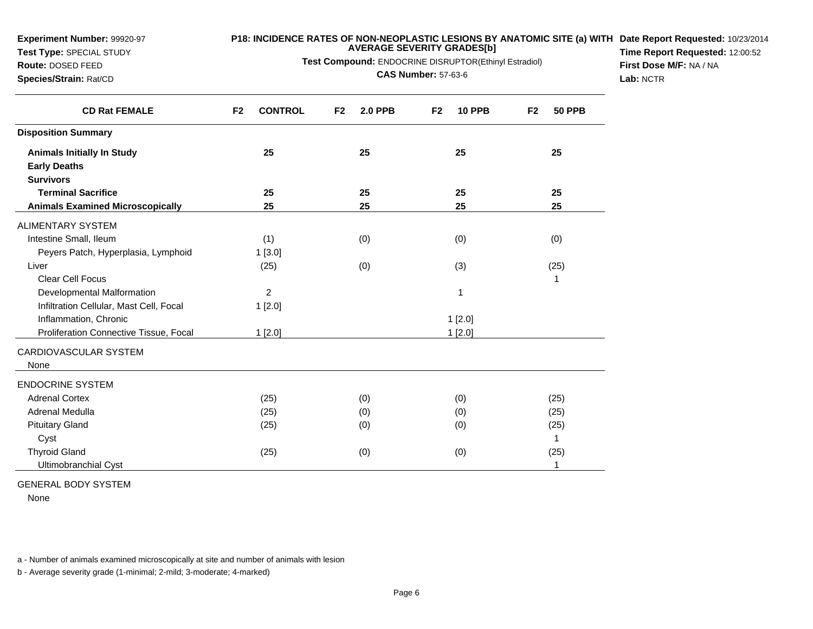**Test Type:** SPECIAL STUDY

# **Route:** DOSED FEED

# **Species/Strain:** Rat/CD

**P18: INCIDENCE RATES OF NON-NEOPLASTIC LESIONS BY ANATOMIC SITE (a) WITH AVERAGE SEVERITY GRADES[b] Date Report Requested:** 10/23/2014

**Test Compound:** ENDOCRINE DISRUPTOR(Ethinyl Estradiol)

**CAS Number:** 57-63-6

**Time Report Requested:** 12:00:52**First Dose M/F:** NA / NA**Lab:** NCTR

| <b>CD Rat FEMALE</b>                    | <b>CONTROL</b><br>F <sub>2</sub> | F <sub>2</sub><br><b>2.0 PPB</b> | F <sub>2</sub><br><b>10 PPB</b> | <b>50 PPB</b><br>F <sub>2</sub> |
|-----------------------------------------|----------------------------------|----------------------------------|---------------------------------|---------------------------------|
| <b>Disposition Summary</b>              |                                  |                                  |                                 |                                 |
| <b>Animals Initially In Study</b>       | 25                               | 25                               | 25                              | 25                              |
| <b>Early Deaths</b>                     |                                  |                                  |                                 |                                 |
| <b>Survivors</b>                        |                                  |                                  |                                 |                                 |
| <b>Terminal Sacrifice</b>               | 25                               | 25                               | 25                              | 25                              |
| <b>Animals Examined Microscopically</b> | 25                               | 25                               | 25                              | 25                              |
| <b>ALIMENTARY SYSTEM</b>                |                                  |                                  |                                 |                                 |
| Intestine Small, Ileum                  | (1)                              | (0)                              | (0)                             | (0)                             |
| Peyers Patch, Hyperplasia, Lymphoid     | 1 [3.0]                          |                                  |                                 |                                 |
| Liver                                   | (25)                             | (0)                              | (3)                             | (25)                            |
| <b>Clear Cell Focus</b>                 |                                  |                                  |                                 | 1                               |
| Developmental Malformation              | $\overline{c}$                   |                                  | 1                               |                                 |
| Infiltration Cellular, Mast Cell, Focal | 1[2.0]                           |                                  |                                 |                                 |
| Inflammation, Chronic                   |                                  |                                  | 1 [2.0]                         |                                 |
| Proliferation Connective Tissue, Focal  | 1 [2.0]                          |                                  | 1[2.0]                          |                                 |
| CARDIOVASCULAR SYSTEM                   |                                  |                                  |                                 |                                 |
| None                                    |                                  |                                  |                                 |                                 |
| <b>ENDOCRINE SYSTEM</b>                 |                                  |                                  |                                 |                                 |
| <b>Adrenal Cortex</b>                   | (25)                             | (0)                              | (0)                             | (25)                            |
| Adrenal Medulla                         | (25)                             | (0)                              | (0)                             | (25)                            |
| <b>Pituitary Gland</b>                  | (25)                             | (0)                              | (0)                             | (25)                            |
| Cyst                                    |                                  |                                  |                                 | 1                               |
| <b>Thyroid Gland</b>                    | (25)                             | (0)                              | (0)                             | (25)                            |
| Ultimobranchial Cyst                    |                                  |                                  |                                 | 1                               |

#### GENERAL BODY SYSTEM

None

a - Number of animals examined microscopically at site and number of animals with lesion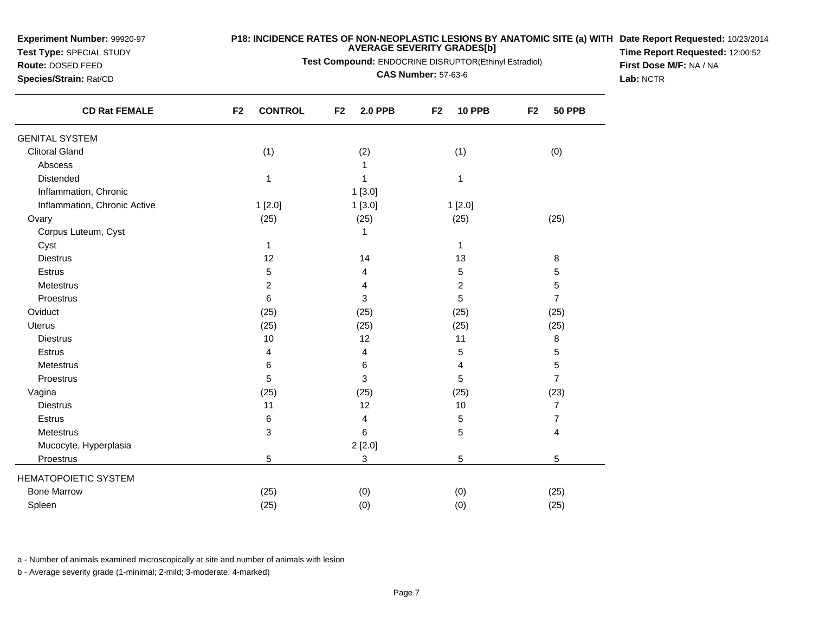**Test Type:** SPECIAL STUDY

**Route:** DOSED FEED**Species/Strain:** Rat/CD

#### **P18: INCIDENCE RATES OF NON-NEOPLASTIC LESIONS BY ANATOMIC SITE (a) WITH AVERAGE SEVERITY GRADES[b] Date Report Requested:** 10/23/2014

**Test Compound:** ENDOCRINE DISRUPTOR(Ethinyl Estradiol)

**CAS Number:** 57-63-6

**Time Report Requested:** 12:00:52**First Dose M/F:** NA / NA**Lab:** NCTR

| <b>CD Rat FEMALE</b>         | F <sub>2</sub><br><b>CONTROL</b> | F <sub>2</sub><br><b>2.0 PPB</b> | <b>10 PPB</b><br>F <sub>2</sub> | <b>50 PPB</b><br>F <sub>2</sub> |
|------------------------------|----------------------------------|----------------------------------|---------------------------------|---------------------------------|
| <b>GENITAL SYSTEM</b>        |                                  |                                  |                                 |                                 |
| <b>Clitoral Gland</b>        | (1)                              | (2)                              | (1)                             | (0)                             |
| Abscess                      |                                  |                                  |                                 |                                 |
| Distended                    | $\mathbf{1}$                     | 1                                | 1                               |                                 |
| Inflammation, Chronic        |                                  | 1[3.0]                           |                                 |                                 |
| Inflammation, Chronic Active | 1[2.0]                           | 1[3.0]                           | 1[2.0]                          |                                 |
| Ovary                        | (25)                             | (25)                             | (25)                            | (25)                            |
| Corpus Luteum, Cyst          |                                  | 1                                |                                 |                                 |
| Cyst                         | 1                                |                                  | 1                               |                                 |
| <b>Diestrus</b>              | 12                               | 14                               | 13                              | 8                               |
| <b>Estrus</b>                | 5                                | 4                                | 5                               | 5                               |
| Metestrus                    | $\overline{c}$                   | 4                                | 2                               | 5                               |
| Proestrus                    | 6                                | 3                                | 5                               | $\overline{7}$                  |
| Oviduct                      | (25)                             | (25)                             | (25)                            | (25)                            |
| <b>Uterus</b>                | (25)                             | (25)                             | (25)                            | (25)                            |
| <b>Diestrus</b>              | 10                               | 12                               | 11                              | 8                               |
| Estrus                       | 4                                | 4                                | 5                               | 5                               |
| Metestrus                    | 6                                | 6                                | 4                               | $\mathbf 5$                     |
| Proestrus                    | 5                                | 3                                | 5                               | $\overline{7}$                  |
| Vagina                       | (25)                             | (25)                             | (25)                            | (23)                            |
| <b>Diestrus</b>              | 11                               | 12                               | 10                              | $\overline{7}$                  |
| Estrus                       | 6                                | 4                                | 5                               | $\overline{7}$                  |
| Metestrus                    | 3                                | 6                                | 5                               | 4                               |
| Mucocyte, Hyperplasia        |                                  | 2[2.0]                           |                                 |                                 |
| Proestrus                    | 5                                | 3                                | 5                               | 5                               |
| <b>HEMATOPOIETIC SYSTEM</b>  |                                  |                                  |                                 |                                 |
| <b>Bone Marrow</b>           | (25)                             | (0)                              | (0)                             | (25)                            |
| Spleen                       | (25)                             | (0)                              | (0)                             | (25)                            |
|                              |                                  |                                  |                                 |                                 |

a - Number of animals examined microscopically at site and number of animals with lesion